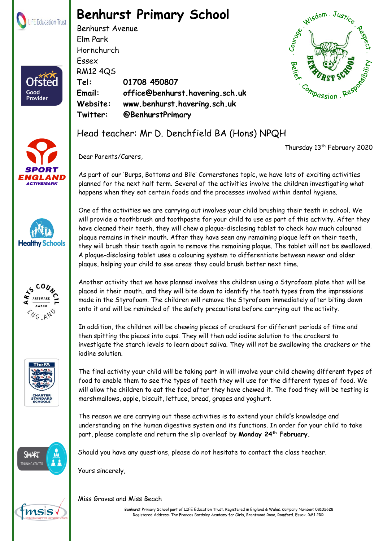

## **Benhurst Primary School**

Benhurst Avenue Elm Park Hornchurch Essex RM12 4QS **Tel: 01708 450807 Email: office@benhurst.havering.sch.uk Website: www.benhurst.havering.sch.uk Twitter: @BenhurstPrimary**



Thursday 13<sup>th</sup> February 2020



Good Provider







SMART



Dear Parents/Carers,

As part of our 'Burps, Bottoms and Bile' Cornerstones topic, we have lots of exciting activities planned for the next half term. Several of the activities involve the children investigating what happens when they eat certain foods and the processes involved within dental hygiene.

One of the activities we are carrying out involves your child brushing their teeth in school. We will provide a toothbrush and toothpaste for your child to use as part of this activity. After they have cleaned their teeth, they will chew a plaque-disclosing tablet to check how much coloured plaque remains in their mouth. After they have seen any remaining plaque left on their teeth, they will brush their teeth again to remove the remaining plaque. The tablet will not be swallowed. A plaque-disclosing tablet uses a colouring system to differentiate between newer and older plaque, helping your child to see areas they could brush better next time.

Another activity that we have planned involves the children using a Styrofoam plate that will be placed in their mouth, and they will bite down to identify the tooth types from the impressions made in the Styrofoam. The children will remove the Styrofoam immediately after biting down onto it and will be reminded of the safety precautions before carrying out the activity.

In addition, the children will be chewing pieces of crackers for different periods of time and then spitting the pieces into cups. They will then add iodine solution to the crackers to investigate the starch levels to learn about saliva. They will not be swallowing the crackers or the iodine solution.

The final activity your child will be taking part in will involve your child chewing different types of food to enable them to see the types of teeth they will use for the different types of food. We will allow the children to eat the food after they have chewed it. The food they will be testing is marshmallows, apple, biscuit, lettuce, bread, grapes and yoghurt.

The reason we are carrying out these activities is to extend your child's knowledge and understanding on the human digestive system and its functions. In order for your child to take part, please complete and return the slip overleaf by **Monday 24th February.**

Should you have any questions, please do not hesitate to contact the class teacher.

Yours sincerely,

## Miss Graves and Miss Beach